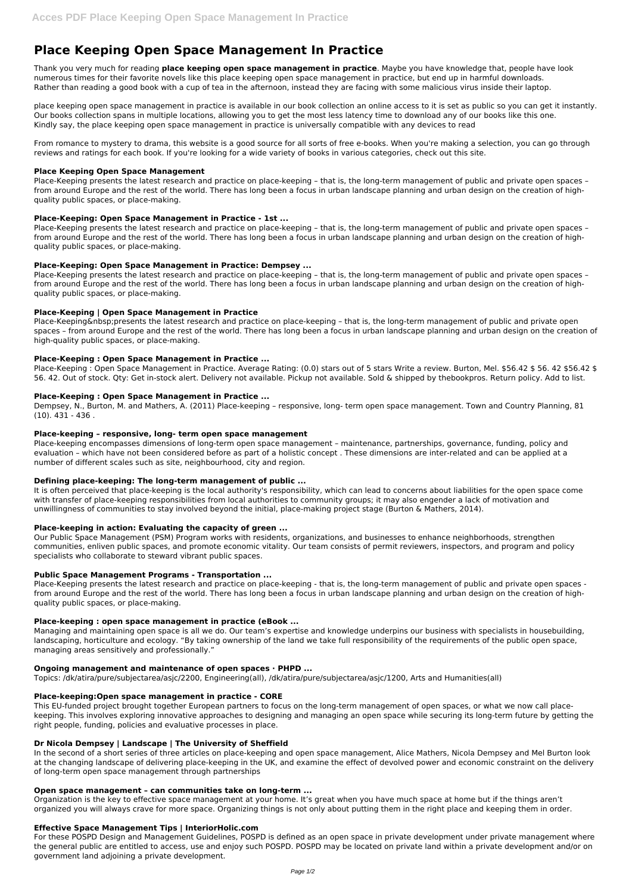# **Place Keeping Open Space Management In Practice**

Thank you very much for reading **place keeping open space management in practice**. Maybe you have knowledge that, people have look numerous times for their favorite novels like this place keeping open space management in practice, but end up in harmful downloads. Rather than reading a good book with a cup of tea in the afternoon, instead they are facing with some malicious virus inside their laptop.

place keeping open space management in practice is available in our book collection an online access to it is set as public so you can get it instantly. Our books collection spans in multiple locations, allowing you to get the most less latency time to download any of our books like this one. Kindly say, the place keeping open space management in practice is universally compatible with any devices to read

From romance to mystery to drama, this website is a good source for all sorts of free e-books. When you're making a selection, you can go through reviews and ratings for each book. If you're looking for a wide variety of books in various categories, check out this site.

## **Place Keeping Open Space Management**

Place-Keeping & nbsp; presents the latest research and practice on place-keeping – that is, the long-term management of public and private open spaces – from around Europe and the rest of the world. There has long been a focus in urban landscape planning and urban design on the creation of high-quality public spaces, or place-making.

Place-Keeping presents the latest research and practice on place-keeping – that is, the long-term management of public and private open spaces – from around Europe and the rest of the world. There has long been a focus in urban landscape planning and urban design on the creation of highquality public spaces, or place-making.

Place-Keeping : Open Space Management in Practice. Average Rating: (0.0) stars out of 5 stars Write a review. Burton, Mel. \$56.42 \$ 56. 42 \$56.42 \$ 56. 42. Out of stock. Qty: Get in-stock alert. Delivery not available. Pickup not available. Sold & shipped by thebookpros. Return policy. Add to list.

# **Place-Keeping: Open Space Management in Practice - 1st ...**

Place-Keeping presents the latest research and practice on place-keeping – that is, the long-term management of public and private open spaces – from around Europe and the rest of the world. There has long been a focus in urban landscape planning and urban design on the creation of highquality public spaces, or place-making.

# **Place-Keeping: Open Space Management in Practice: Dempsey ...**

Place-Keeping presents the latest research and practice on place-keeping – that is, the long-term management of public and private open spaces – from around Europe and the rest of the world. There has long been a focus in urban landscape planning and urban design on the creation of highquality public spaces, or place-making.

# **Place-Keeping | Open Space Management in Practice**

## **Place-Keeping : Open Space Management in Practice ...**

## **Place-Keeping : Open Space Management in Practice ...**

Dempsey, N., Burton, M. and Mathers, A. (2011) Place-keeping – responsive, long- term open space management. Town and Country Planning, 81 (10). 431 - 436 .

## **Place-keeping – responsive, long- term open space management**

Place-keeping encompasses dimensions of long-term open space management – maintenance, partnerships, governance, funding, policy and evaluation – which have not been considered before as part of a holistic concept . These dimensions are inter-related and can be applied at a number of different scales such as site, neighbourhood, city and region.

## **Defining place-keeping: The long-term management of public ...**

It is often perceived that place-keeping is the local authority's responsibility, which can lead to concerns about liabilities for the open space come with transfer of place-keeping responsibilities from local authorities to community groups; it may also engender a lack of motivation and unwillingness of communities to stay involved beyond the initial, place-making project stage (Burton & Mathers, 2014).

## **Place-keeping in action: Evaluating the capacity of green ...**

Our Public Space Management (PSM) Program works with residents, organizations, and businesses to enhance neighborhoods, strengthen communities, enliven public spaces, and promote economic vitality. Our team consists of permit reviewers, inspectors, and program and policy specialists who collaborate to steward vibrant public spaces.

## **Public Space Management Programs - Transportation ...**

Place-Keeping presents the latest research and practice on place-keeping - that is, the long-term management of public and private open spaces from around Europe and the rest of the world. There has long been a focus in urban landscape planning and urban design on the creation of highquality public spaces, or place-making.

## **Place-keeping : open space management in practice (eBook ...**

Managing and maintaining open space is all we do. Our team's expertise and knowledge underpins our business with specialists in housebuilding, landscaping, horticulture and ecology. "By taking ownership of the land we take full responsibility of the requirements of the public open space, managing areas sensitively and professionally."

# **Ongoing management and maintenance of open spaces · PHPD ...**

Topics: /dk/atira/pure/subjectarea/asjc/2200, Engineering(all), /dk/atira/pure/subjectarea/asjc/1200, Arts and Humanities(all)

#### **Place-keeping:Open space management in practice - CORE**

This EU-funded project brought together European partners to focus on the long-term management of open spaces, or what we now call placekeeping. This involves exploring innovative approaches to designing and managing an open space while securing its long-term future by getting the right people, funding, policies and evaluative processes in place.

## **Dr Nicola Dempsey | Landscape | The University of Sheffield**

In the second of a short series of three articles on place-keeping and open space management, Alice Mathers, Nicola Dempsey and Mel Burton look at the changing landscape of delivering place-keeping in the UK, and examine the effect of devolved power and economic constraint on the delivery of long-term open space management through partnerships

#### **Open space management – can communities take on long-term ...**

Organization is the key to effective space management at your home. It's great when you have much space at home but if the things aren't organized you will always crave for more space. Organizing things is not only about putting them in the right place and keeping them in order.

# **Effective Space Management Tips | InteriorHolic.com**

For these POSPD Design and Management Guidelines, POSPD is defined as an open space in private development under private management where the general public are entitled to access, use and enjoy such POSPD. POSPD may be located on private land within a private development and/or on government land adjoining a private development.